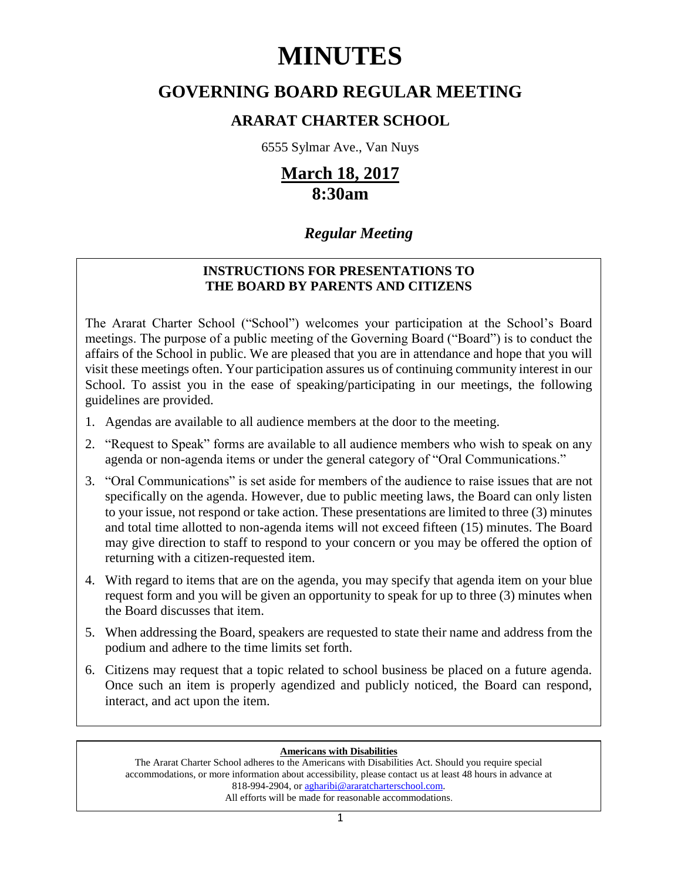# **MINUTES**

# **GOVERNING BOARD REGULAR MEETING**

# **ARARAT CHARTER SCHOOL**

6555 Sylmar Ave., Van Nuys

# **March 18, 2017 8:30am**

# *Regular Meeting*

# **INSTRUCTIONS FOR PRESENTATIONS TO THE BOARD BY PARENTS AND CITIZENS**

The Ararat Charter School ("School") welcomes your participation at the School's Board meetings. The purpose of a public meeting of the Governing Board ("Board") is to conduct the affairs of the School in public. We are pleased that you are in attendance and hope that you will visit these meetings often. Your participation assures us of continuing community interest in our School. To assist you in the ease of speaking/participating in our meetings, the following guidelines are provided.

- 1. Agendas are available to all audience members at the door to the meeting.
- 2. "Request to Speak" forms are available to all audience members who wish to speak on any agenda or non-agenda items or under the general category of "Oral Communications."
- 3. "Oral Communications" is set aside for members of the audience to raise issues that are not specifically on the agenda. However, due to public meeting laws, the Board can only listen to your issue, not respond or take action. These presentations are limited to three (3) minutes and total time allotted to non-agenda items will not exceed fifteen (15) minutes. The Board may give direction to staff to respond to your concern or you may be offered the option of returning with a citizen-requested item.
- 4. With regard to items that are on the agenda, you may specify that agenda item on your blue request form and you will be given an opportunity to speak for up to three (3) minutes when the Board discusses that item.
- 5. When addressing the Board, speakers are requested to state their name and address from the podium and adhere to the time limits set forth.
- 6. Citizens may request that a topic related to school business be placed on a future agenda. Once such an item is properly agendized and publicly noticed, the Board can respond, interact, and act upon the item.

# **Americans with Disabilities**

The Ararat Charter School adheres to the Americans with Disabilities Act. Should you require special accommodations, or more information about accessibility, please contact us at least 48 hours in advance at 818-994-2904, or agharibi@araratcharterschool.com. All efforts will be made for reasonable accommodations.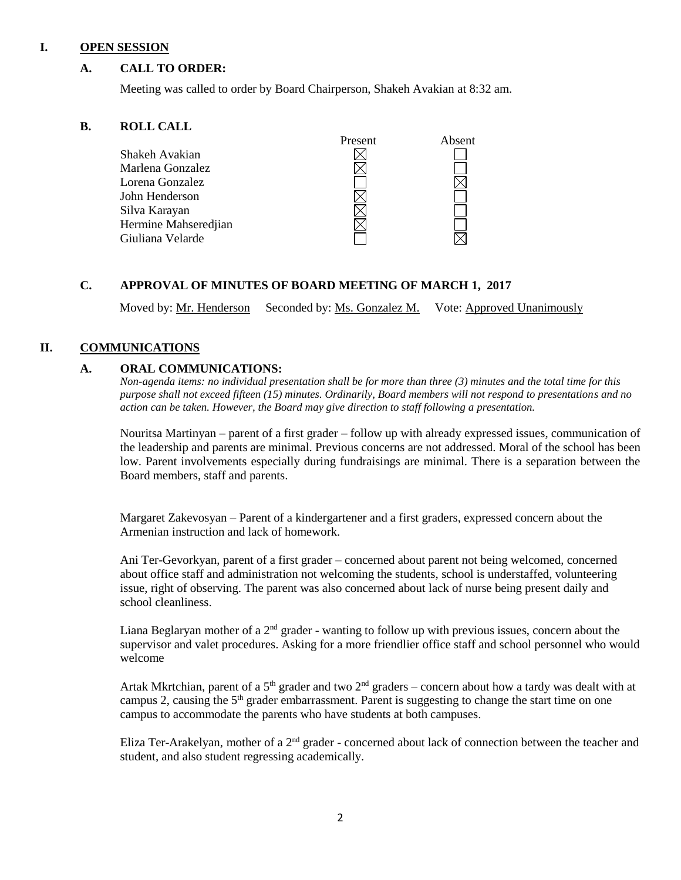#### **I. OPEN SESSION**

# **A. CALL TO ORDER:**

Meeting was called to order by Board Chairperson, Shakeh Avakian at 8:32 am.

# **B. ROLL CALL**

|                      | Present | Absent |
|----------------------|---------|--------|
| Shakeh Avakian       |         |        |
| Marlena Gonzalez     |         |        |
| Lorena Gonzalez      |         |        |
| John Henderson       |         |        |
| Silva Karayan        |         |        |
| Hermine Mahseredjian |         |        |
| Giuliana Velarde     |         |        |
|                      |         |        |

# **C. APPROVAL OF MINUTES OF BOARD MEETING OF MARCH 1, 2017**

Moved by: Mr. Henderson Seconded by: Ms. Gonzalez M. Vote: Approved Unanimously

# **II. COMMUNICATIONS**

# **A. ORAL COMMUNICATIONS:**

*Non-agenda items: no individual presentation shall be for more than three (3) minutes and the total time for this purpose shall not exceed fifteen (15) minutes. Ordinarily, Board members will not respond to presentations and no action can be taken. However, the Board may give direction to staff following a presentation.*

Nouritsa Martinyan – parent of a first grader – follow up with already expressed issues, communication of the leadership and parents are minimal. Previous concerns are not addressed. Moral of the school has been low. Parent involvements especially during fundraisings are minimal. There is a separation between the Board members, staff and parents.

Margaret Zakevosyan – Parent of a kindergartener and a first graders, expressed concern about the Armenian instruction and lack of homework.

Ani Ter-Gevorkyan, parent of a first grader – concerned about parent not being welcomed, concerned about office staff and administration not welcoming the students, school is understaffed, volunteering issue, right of observing. The parent was also concerned about lack of nurse being present daily and school cleanliness.

Liana Beglaryan mother of a  $2<sup>nd</sup>$  grader - wanting to follow up with previous issues, concern about the supervisor and valet procedures. Asking for a more friendlier office staff and school personnel who would welcome

Artak Mkrtchian, parent of a 5<sup>th</sup> grader and two  $2<sup>nd</sup>$  graders – concern about how a tardy was dealt with at campus 2, causing the  $5<sup>th</sup>$  grader embarrassment. Parent is suggesting to change the start time on one campus to accommodate the parents who have students at both campuses.

Eliza Ter-Arakelyan, mother of a 2nd grader - concerned about lack of connection between the teacher and student, and also student regressing academically.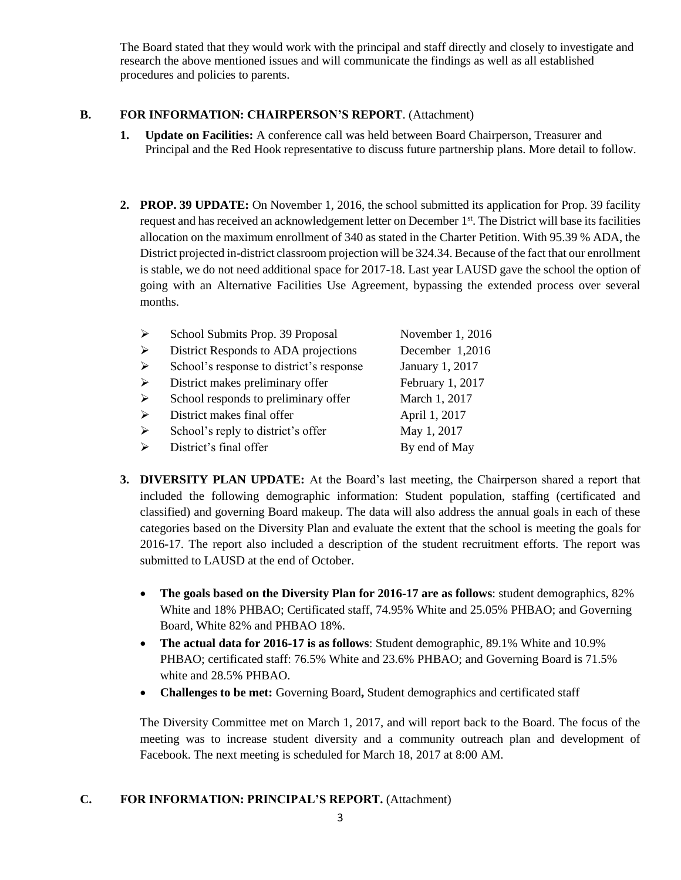The Board stated that they would work with the principal and staff directly and closely to investigate and research the above mentioned issues and will communicate the findings as well as all established procedures and policies to parents.

### **B. FOR INFORMATION: CHAIRPERSON'S REPORT**. (Attachment)

- **1. Update on Facilities:** A conference call was held between Board Chairperson, Treasurer and Principal and the Red Hook representative to discuss future partnership plans. More detail to follow.
- **2. PROP. 39 UPDATE:** On November 1, 2016, the school submitted its application for Prop. 39 facility request and has received an acknowledgement letter on December 1st. The District will base its facilities allocation on the maximum enrollment of 340 as stated in the Charter Petition. With 95.39 % ADA, the District projected in-district classroom projection will be 324.34. Because of the fact that our enrollment is stable, we do not need additional space for 2017-18. Last year LAUSD gave the school the option of going with an Alternative Facilities Use Agreement, bypassing the extended process over several months.

| ➤ | School Submits Prop. 39 Proposal         | November 1, 2016 |  |
|---|------------------------------------------|------------------|--|
| ➤ | District Responds to ADA projections     | December 1,2016  |  |
| ➤ | School's response to district's response | January 1, 2017  |  |
| ➤ | District makes preliminary offer         | February 1, 2017 |  |
| ➤ | School responds to preliminary offer     | March 1, 2017    |  |
| ➤ | District makes final offer               | April 1, 2017    |  |
| ➤ | School's reply to district's offer       | May 1, 2017      |  |
| ↘ | District's final offer                   | By end of May    |  |
|   |                                          |                  |  |

- **3. DIVERSITY PLAN UPDATE:** At the Board's last meeting, the Chairperson shared a report that included the following demographic information: Student population, staffing (certificated and classified) and governing Board makeup. The data will also address the annual goals in each of these categories based on the Diversity Plan and evaluate the extent that the school is meeting the goals for 2016-17. The report also included a description of the student recruitment efforts. The report was submitted to LAUSD at the end of October.
	- **The goals based on the Diversity Plan for 2016-17 are as follows**: student demographics, 82% White and 18% PHBAO; Certificated staff, 74.95% White and 25.05% PHBAO; and Governing Board, White 82% and PHBAO 18%.
	- **The actual data for 2016-17 is as follows**: Student demographic, 89.1% White and 10.9% PHBAO; certificated staff: 76.5% White and 23.6% PHBAO; and Governing Board is 71.5% white and 28.5% PHBAO.
	- **Challenges to be met:** Governing Board, Student demographics and certificated staff

The Diversity Committee met on March 1, 2017, and will report back to the Board. The focus of the meeting was to increase student diversity and a community outreach plan and development of Facebook. The next meeting is scheduled for March 18, 2017 at 8:00 AM.

#### **C. FOR INFORMATION: PRINCIPAL'S REPORT.** (Attachment)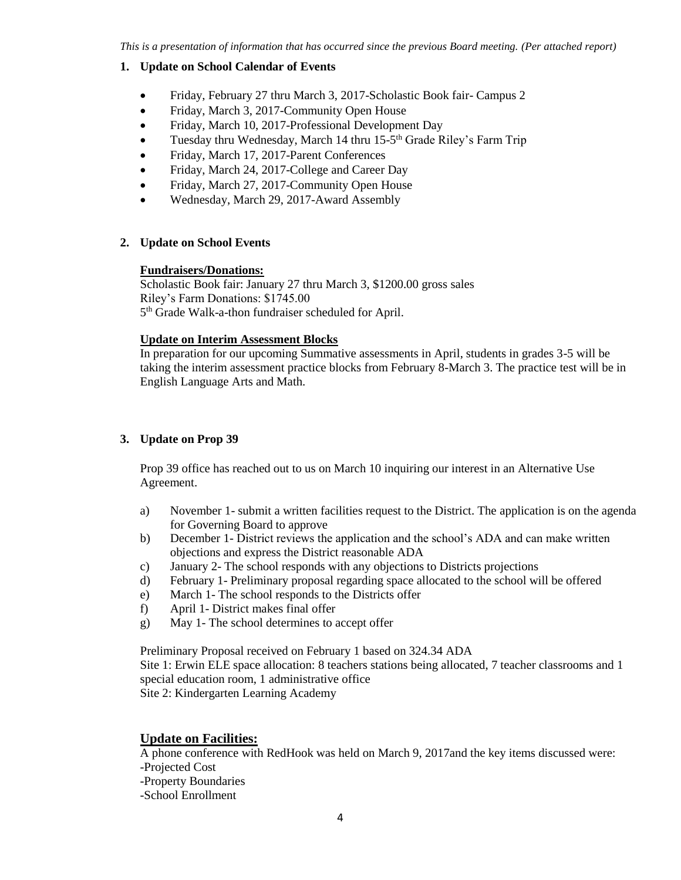### **1. Update on School Calendar of Events**

- Friday, February 27 thru March 3, 2017-Scholastic Book fair- Campus 2
- Friday, March 3, 2017-Community Open House
- Friday, March 10, 2017-Professional Development Day
- Tuesday thru Wednesday, March 14 thru 15-5<sup>th</sup> Grade Riley's Farm Trip
- Friday, March 17, 2017-Parent Conferences
- Friday, March 24, 2017-College and Career Day
- Friday, March 27, 2017-Community Open House
- Wednesday, March 29, 2017-Award Assembly

### **2. Update on School Events**

#### **Fundraisers/Donations:**

Scholastic Book fair: January 27 thru March 3, \$1200.00 gross sales Riley's Farm Donations: \$1745.00 5<sup>th</sup> Grade Walk-a-thon fundraiser scheduled for April.

### **Update on Interim Assessment Blocks**

In preparation for our upcoming Summative assessments in April, students in grades 3-5 will be taking the interim assessment practice blocks from February 8-March 3. The practice test will be in English Language Arts and Math.

# **3. Update on Prop 39**

Prop 39 office has reached out to us on March 10 inquiring our interest in an Alternative Use Agreement.

- a) November 1- submit a written facilities request to the District. The application is on the agenda for Governing Board to approve
- b) December 1- District reviews the application and the school's ADA and can make written objections and express the District reasonable ADA
- c) January 2- The school responds with any objections to Districts projections
- d) February 1- Preliminary proposal regarding space allocated to the school will be offered
- e) March 1- The school responds to the Districts offer
- f) April 1- District makes final offer
- g) May 1- The school determines to accept offer

Preliminary Proposal received on February 1 based on 324.34 ADA

Site 1: Erwin ELE space allocation: 8 teachers stations being allocated, 7 teacher classrooms and 1 special education room, 1 administrative office

Site 2: Kindergarten Learning Academy

# **Update on Facilities:**

A phone conference with RedHook was held on March 9, 2017and the key items discussed were: -Projected Cost -Property Boundaries -School Enrollment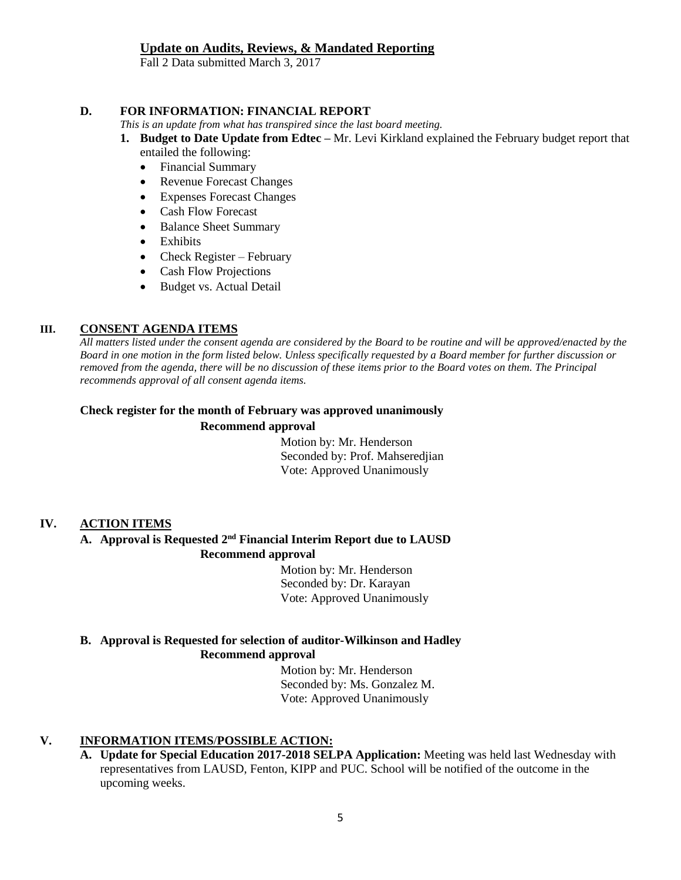### **Update on Audits, Reviews, & Mandated Reporting**

Fall 2 Data submitted March 3, 2017

#### **D. FOR INFORMATION: FINANCIAL REPORT**

*This is an update from what has transpired since the last board meeting.*

- **1. Budget to Date Update from Edtec –** Mr. Levi Kirkland explained the February budget report that entailed the following:
	- Financial Summary
	- Revenue Forecast Changes
	- Expenses Forecast Changes
	- Cash Flow Forecast
	- Balance Sheet Summary
	- Exhibits
	- Check Register February
	- Cash Flow Projections
	- Budget vs. Actual Detail

# **III. CONSENT AGENDA ITEMS**

*All matters listed under the consent agenda are considered by the Board to be routine and will be approved/enacted by the Board in one motion in the form listed below. Unless specifically requested by a Board member for further discussion or removed from the agenda, there will be no discussion of these items prior to the Board votes on them. The Principal recommends approval of all consent agenda items.*

# **Check register for the month of February was approved unanimously**

### **Recommend approval**

 Motion by: Mr. Henderson Seconded by: Prof. Mahseredjian Vote: Approved Unanimously

# **IV. ACTION ITEMS**

# **A. Approval is Requested 2 nd Financial Interim Report due to LAUSD Recommend approval**

 Motion by: Mr. Henderson Seconded by: Dr. Karayan Vote: Approved Unanimously

#### **B. Approval is Requested for selection of auditor-Wilkinson and Hadley Recommend approval**

 Motion by: Mr. Henderson Seconded by: Ms. Gonzalez M. Vote: Approved Unanimously

# **V. INFORMATION ITEMS**/**POSSIBLE ACTION:**

**A. Update for Special Education 2017-2018 SELPA Application:** Meeting was held last Wednesday with representatives from LAUSD, Fenton, KIPP and PUC. School will be notified of the outcome in the upcoming weeks.